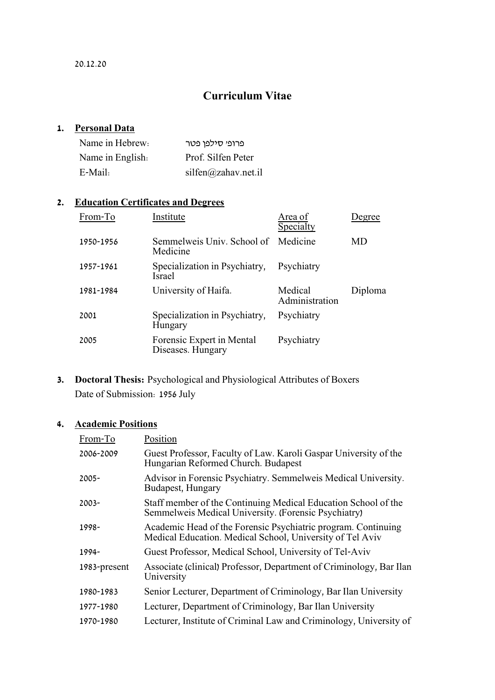## **Curriculum Vitae**

### **1. Personal Data**

| Name in Hebrew:  | פרופי סילפן פטר     |
|------------------|---------------------|
| Name in English. | Prof. Silfen Peter  |
| E-Mail:          | silfen@zahav.net.i1 |

### **2. Education Certificates and Degrees**

| From-To   | Institute                                      | Area of<br>Specialty      | Degree  |
|-----------|------------------------------------------------|---------------------------|---------|
| 1950-1956 | Semmelweis Univ. School of<br>Medicine         | Medicine                  | MD      |
| 1957-1961 | Specialization in Psychiatry,<br><b>Israel</b> | Psychiatry                |         |
| 1981-1984 | University of Haifa.                           | Medical<br>Administration | Diploma |
| 2001      | Specialization in Psychiatry,<br>Hungary       | Psychiatry                |         |
| 2005      | Forensic Expert in Mental<br>Diseases. Hungary | Psychiatry                |         |

**3. Doctoral Thesis:** Psychological and Physiological Attributes of Boxers Date of Submission: 1956 July

### **4. Academic Positions**

| Position                                                                                                                   |
|----------------------------------------------------------------------------------------------------------------------------|
| Guest Professor, Faculty of Law. Karoli Gaspar University of the<br>Hungarian Reformed Church. Budapest                    |
| Advisor in Forensic Psychiatry. Semmelweis Medical University.<br>Budapest, Hungary                                        |
| Staff member of the Continuing Medical Education School of the<br>Semmelweis Medical University. (Forensic Psychiatry)     |
| Academic Head of the Forensic Psychiatric program. Continuing<br>Medical Education. Medical School, University of Tel Aviv |
| Guest Professor, Medical School, University of Tel-Aviv                                                                    |
| Associate (clinical) Professor, Department of Criminology, Bar Ilan<br>University                                          |
| Senior Lecturer, Department of Criminology, Bar Ilan University                                                            |
| Lecturer, Department of Criminology, Bar Ilan University                                                                   |
| Lecturer, Institute of Criminal Law and Criminology, University of                                                         |
|                                                                                                                            |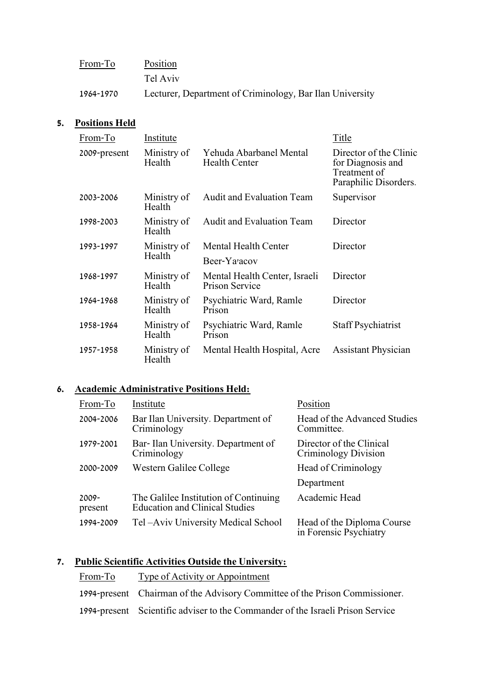| From-To   | Position                                                 |
|-----------|----------------------------------------------------------|
|           | Tel Aviv                                                 |
| 1964-1970 | Lecturer, Department of Criminology, Bar Ilan University |

### **5. Positions Held**

| From-To      | Institute             |                                                        | Title                                                                                |  |
|--------------|-----------------------|--------------------------------------------------------|--------------------------------------------------------------------------------------|--|
| 2009-present | Ministry of<br>Health | Yehuda Abarbanel Mental<br><b>Health Center</b>        | Director of the Clinic<br>for Diagnosis and<br>Treatment of<br>Paraphilic Disorders. |  |
| 2003-2006    | Ministry of<br>Health | Audit and Evaluation Team                              | Supervisor                                                                           |  |
| 1998-2003    | Ministry of<br>Health | <b>Audit and Evaluation Team</b>                       | Director                                                                             |  |
| 1993-1997    | Ministry of           | Mental Health Center                                   | Director                                                                             |  |
|              | Health                | Beer-Ya'acov                                           |                                                                                      |  |
| 1968-1997    | Ministry of<br>Health | Mental Health Center, Israeli<br><b>Prison Service</b> | Director                                                                             |  |
| 1964-1968    | Ministry of<br>Health | Psychiatric Ward, Ramle<br>Prison                      | Director                                                                             |  |
| 1958-1964    | Ministry of<br>Health | Psychiatric Ward, Ramle<br>Prison                      | <b>Staff Psychiatrist</b>                                                            |  |
| 1957-1958    | Ministry of<br>Health | Mental Health Hospital, Acre                           | <b>Assistant Physician</b>                                                           |  |

### **6. Academic Administrative Positions Held:**

| From-To             | Institute                                                                      | Position                                             |
|---------------------|--------------------------------------------------------------------------------|------------------------------------------------------|
| 2004-2006           | Bar Ilan University. Department of<br>Criminology                              | Head of the Advanced Studies<br>Committee.           |
| 1979-2001           | Bar-Ilan University. Department of<br>Criminology                              | Director of the Clinical<br>Criminology Division     |
| 2000-2009           | Western Galilee College                                                        | Head of Criminology                                  |
|                     |                                                                                | Department                                           |
| $2009 -$<br>present | The Galilee Institution of Continuing<br><b>Education and Clinical Studies</b> | Academic Head                                        |
| 1994-2009           | Tel-Aviv University Medical School                                             | Head of the Diploma Course<br>in Forensic Psychiatry |

# **7. Public Scientific Activities Outside the University:**

| From-To | Type of Activity or Appointment                                                |
|---------|--------------------------------------------------------------------------------|
|         | 1994-present Chairman of the Advisory Committee of the Prison Commissioner.    |
|         | 1994-present Scientific adviser to the Commander of the Israeli Prison Service |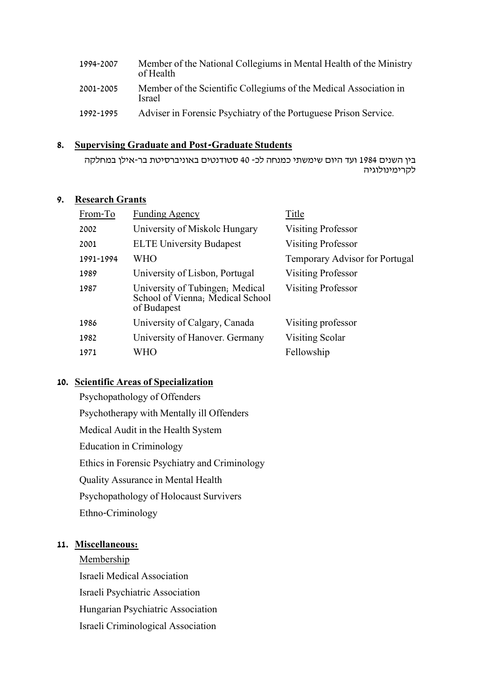| 1994-2007 | Member of the National Collegiums in Mental Health of the Ministry<br>of Health |
|-----------|---------------------------------------------------------------------------------|
| 2001-2005 | Member of the Scientific Collegiums of the Medical Association in<br>Israel     |
| 1992-1995 | Adviser in Forensic Psychiatry of the Portuguese Prison Service.                |

### **8. Supervising Graduate and Post-Graduate Students**

בין השנים 1984 ועד היום שימשתי כמנחה לכ- 40 סטודנטים באוניברסיטת בר-אילן במחלקה לקרימינולוגיה

### **9. Research Grants**

| From-To   | <b>Funding Agency</b>                                                              | Title                          |
|-----------|------------------------------------------------------------------------------------|--------------------------------|
| 2002      | University of Miskolc Hungary                                                      | <b>Visiting Professor</b>      |
| 2001      | <b>ELTE University Budapest</b>                                                    | <b>Visiting Professor</b>      |
| 1991-1994 | WHO                                                                                | Temporary Advisor for Portugal |
| 1989      | University of Lisbon, Portugal                                                     | <b>Visiting Professor</b>      |
| 1987      | University of Tubingen; Medical<br>School of Vienna; Medical School<br>of Budapest | Visiting Professor             |
| 1986      | University of Calgary, Canada                                                      | Visiting professor             |
| 1982      | University of Hanover. Germany                                                     | Visiting Scolar                |
| 1971      | WHO                                                                                | Fellowship                     |

### **10. Scientific Areas of Specialization**

Psychopathology of Offenders Psychotherapy with Mentally ill Offenders Medical Audit in the Health System Education in Criminology Ethics in Forensic Psychiatry and Criminology Quality Assurance in Mental Health Psychopathology of Holocaust Survivers Ethno-Criminology

### **11. Miscellaneous:**

**Membership** 

Israeli Medical Association Israeli Psychiatric Association Hungarian Psychiatric Association Israeli Criminological Association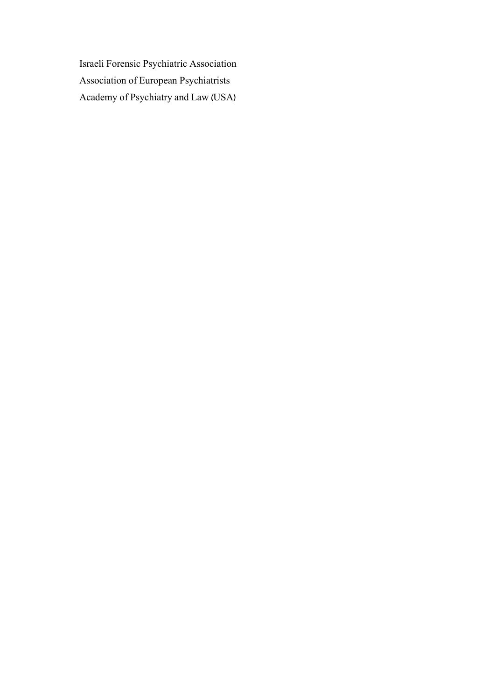Israeli Forensic Psychiatric Association Association of European Psychiatrists Academy of Psychiatry and Law (USA)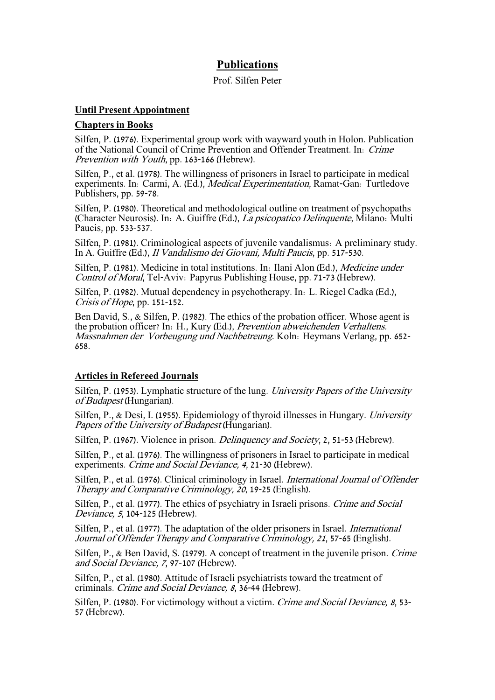### **Publications**

#### Prof. Silfen Peter

#### **Until Present Appointment**

#### **Chapters in Books**

Silfen, P. (1976). Experimental group work with wayward youth in Holon. Publication of the National Council of Crime Prevention and Offender Treatment. In: Crime Prevention with Youth, pp. 163-166 (Hebrew).

Silfen, P., et al. (1978). The willingness of prisoners in Israel to participate in medical experiments. In: Carmi, A. (Ed.), Medical Experimentation, Ramat-Gan: Turtledove Publishers, pp. 59-78.

Silfen, P. (1980). Theoretical and methodological outline on treatment of psychopaths (Character Neurosis). In: A. Guiffre (Ed.), La psicopatico Delinquente, Milano: Multi Paucis, pp. 533-537.

Silfen, P. (1981). Criminological aspects of juvenile vandalismus: A preliminary study. In A. Guiffre (Ed.), Il Vandalismo dei Giovani, Multi Paucis, pp. 517-530.

Silfen, P. (1981). Medicine in total institutions. In: Ilani Alon (Ed.), Medicine under Control of Moral, Tel-Aviv: Papyrus Publishing House, pp. 71-73 (Hebrew).

Silfen, P. (1982). Mutual dependency in psychotherapy. In: L. Riegel Cadka (Ed.), Crisis of Hope, pp. 151-152.

Ben David, S., & Silfen, P. (1982). The ethics of the probation officer. Whose agent is the probation officer? In: H., Kury (Ed.), Prevention abweichenden Verhaltens. Massnahmen der Vorbeugung und Nachbetreung. Koln: Heymans Verlang, pp. 652- 658.

#### **Articles in Refereed Journals**

Silfen, P. (1953). Lymphatic structure of the lung. University Papers of the University of Budapest (Hungarian).

Silfen, P., & Desi, I. (1955). Epidemiology of thyroid illnesses in Hungary. University Papers of the University of Budapest (Hungarian).

Silfen, P. (1967). Violence in prison. Delinquency and Society, 2, 51-53 (Hebrew).

Silfen, P., et al. (1976). The willingness of prisoners in Israel to participate in medical experiments. Crime and Social Deviance, 4, 21-30 (Hebrew).

Silfen, P., et al. (1976). Clinical criminology in Israel. International Journal of Offender Therapy and Comparative Criminology, 20, 19-25 (English).

Silfen, P., et al. (1977). The ethics of psychiatry in Israeli prisons. Crime and Social Deviance, <sup>5</sup>, 104-125 (Hebrew).

Silfen, P., et al. (1977). The adaptation of the older prisoners in Israel. International Journal of Offender Therapy and Comparative Criminology, 21, 57-65 (English).

Silfen, P., & Ben David, S. (1979). A concept of treatment in the juvenile prison. Crime and Social Deviance, 7, 97-107 (Hebrew).

Silfen, P., et al. (1980). Attitude of Israeli psychiatrists toward the treatment of criminals. Crime and Social Deviance, 8, 36-44 (Hebrew).

Silfen, P. (1980). For victimology without a victim. Crime and Social Deviance, 8, 53-57 (Hebrew).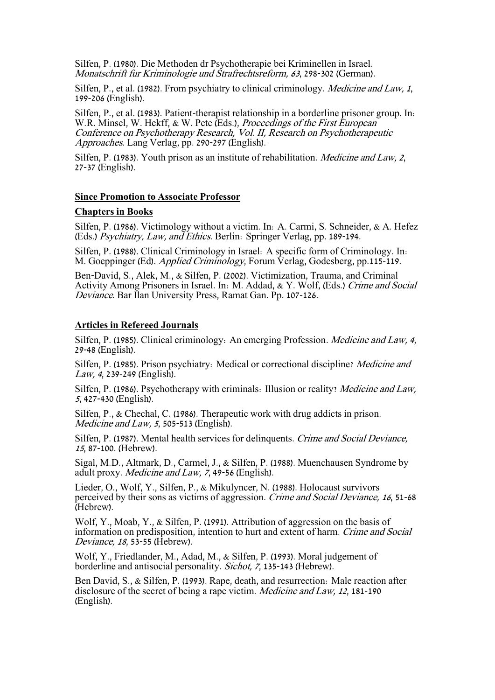Silfen, P. (1980). Die Methoden dr Psychotherapie bei Kriminellen in Israel. Monatschrift fur Kriminologie und Strafrechtsreform, 63, 298-302 (German).

Silfen, P., et al. (1982). From psychiatry to clinical criminology. *Medicine and Law, 1*, 199-206 (English).

Silfen, P., et al. (1983). Patient-therapist relationship in a borderline prisoner group. In: W.R. Minsel, W. Hekff, & W. Pete (Eds.), Proceedings of the First European Conference on Psychotherapy Research, Vol. II, Research on Psychotherapeutic Approaches. Lang Verlag, pp. 290-297 (English).

Silfen, P. (1983). Youth prison as an institute of rehabilitation. *Medicine and Law, 2*, 27-37 (English).

#### **Since Promotion to Associate Professor**

#### **Chapters in Books**

Silfen, P. (1986). Victimology without a victim. In: A. Carmi, S. Schneider, & A. Hefez (Eds.) Psychiatry, Law, and Ethics. Berlin: Springer Verlag, pp. 189-194.

Silfen, P. (1988). Clinical Criminology in Israel: A specific form of Criminology. In: M. Goeppinger (Ed). Applied Criminology, Forum Verlag, Godesberg, pp.115-119.

Ben-David, S., Alek, M., & Silfen, P. (2002). Victimization, Trauma, and Criminal Activity Among Prisoners in Israel. In: M. Addad, & Y. Wolf, (Eds.) Crime and Social Deviance. Bar Ilan University Press, Ramat Gan. Pp. 107-126.

#### **Articles in Refereed Journals**

Silfen, P. (1985). Clinical criminology: An emerging Profession. Medicine and Law, 4, 29-48 (English).

Silfen, P. (1985). Prison psychiatry: Medical or correctional discipline? Medicine and Law, 4, 239-249 (English).

Silfen, P. (1986). Psychotherapy with criminals: Illusion or reality? Medicine and Law, <sup>5</sup>, 427-430 (English).

Silfen, P., & Chechal, C. (1986). Therapeutic work with drug addicts in prison. Medicine and Law, 5, 505-513 (English).

Silfen, P. (1987). Mental health services for delinquents. Crime and Social Deviance, <sup>15</sup>, 87-100. (Hebrew).

Sigal, M.D., Altmark, D., Carmel, J., & Silfen, P. (1988). Muenchausen Syndrome by adult proxy. Medicine and Law, 7, 49-56 (English).

Lieder, O., Wolf, Y., Silfen, P., & Mikulyncer, N. (1988). Holocaust survivors perceived by their sons as victims of aggression. Crime and Social Deviance, 16, 51-68 (Hebrew).

Wolf, Y., Moab, Y., & Silfen, P. (1991). Attribution of aggression on the basis of information on predisposition, intention to hurt and extent of harm. Crime and Social Deviance, 18, 53-55 (Hebrew).

Wolf, Y., Friedlander, M., Adad, M., & Silfen, P. (1993). Moral judgement of borderline and antisocial personality. Sichot, 7, 135-143 (Hebrew).

Ben David, S., & Silfen, P. (1993). Rape, death, and resurrection: Male reaction after disclosure of the secret of being a rape victim. Medicine and Law, 12, 181-190 (English).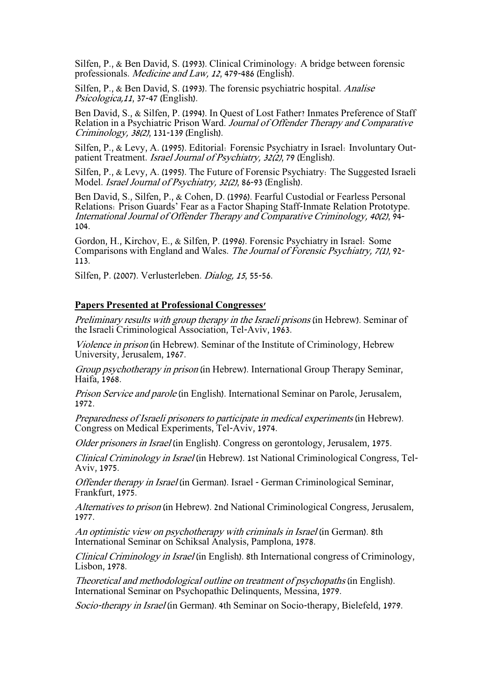Silfen, P., & Ben David, S. (1993). Clinical Criminology: A bridge between forensic professionals. Medicine and Law, 12, 479-486 (English).

Silfen, P., & Ben David, S. (1993). The forensic psychiatric hospital. Analise Psicologica,11, 37-47 (English).

Ben David, S., & Silfen, P. (1994). In Quest of Lost Father? Inmates Preference of Staff Relation in a Psychiatric Prison Ward. Journal of Offender Therapy and Comparative Criminology, 38(2), 131-139 (English).

Silfen, P., & Levy, A. (1995). Editorial: Forensic Psychiatry in Israel: Involuntary Outpatient Treatment. Israel Journal of Psychiatry, 32(2), 79 (English).

Silfen, P., & Levy, A. (1995). The Future of Forensic Psychiatry: The Suggested Israeli Model. Israel Journal of Psychiatry, 32(2), 86-93 (English).

Ben David, S., Silfen, P., & Cohen, D. (1996). Fearful Custodial or Fearless Personal Relations: Prison Guards' Fear as a Factor Shaping Staff-Inmate Relation Prototype. International Journal of Offender Therapy and Comparative Criminology, 40(2), 94- 104.

Gordon, H., Kirchov, E., & Silfen, P. (1996). Forensic Psychiatry in Israel: Some Comparisons with England and Wales. The Journal of Forensic Psychiatry, 7(1), 92- 113.

Silfen, P. (2007). Verlusterleben. Dialog, 15, 55-56.

#### **Papers Presented at Professional Congresses'**

Preliminary results with group therapy in the Israeli prisons (in Hebrew). Seminar of the Israeli Criminological Association, Tel-Aviv, 1963.

Violence in prison (in Hebrew). Seminar of the Institute of Criminology, Hebrew University, Jerusalem, 1967.

Group psychotherapy in prison (in Hebrew). International Group Therapy Seminar, Haifa, 1968.

Prison Service and parole (in English). International Seminar on Parole, Jerusalem, 1972.

Preparedness of Israeli prisoners to participate in medical experiments (in Hebrew). Congress on Medical Experiments, Tel-Aviv, 1974.

Older prisoners in Israel (in English). Congress on gerontology, Jerusalem, 1975.

Clinical Criminology in Israel (in Hebrew). 1st National Criminological Congress, Tel-Aviv, 1975.

Offender therapy in Israel (in German). Israel - German Criminological Seminar, Frankfurt, 1975.

Alternatives to prison (in Hebrew). 2nd National Criminological Congress, Jerusalem, 1977.

An optimistic view on psychotherapy with criminals in Israel (in German). 8th International Seminar on Schiksal Analysis, Pamplona, 1978.

Clinical Criminology in Israel (in English). 8th International congress of Criminology, Lisbon, 1978.

Theoretical and methodological outline on treatment of psychopaths (in English). International Seminar on Psychopathic Delinquents, Messina, 1979.

Socio-therapy in Israel (in German). 4th Seminar on Socio-therapy, Bielefeld, 1979.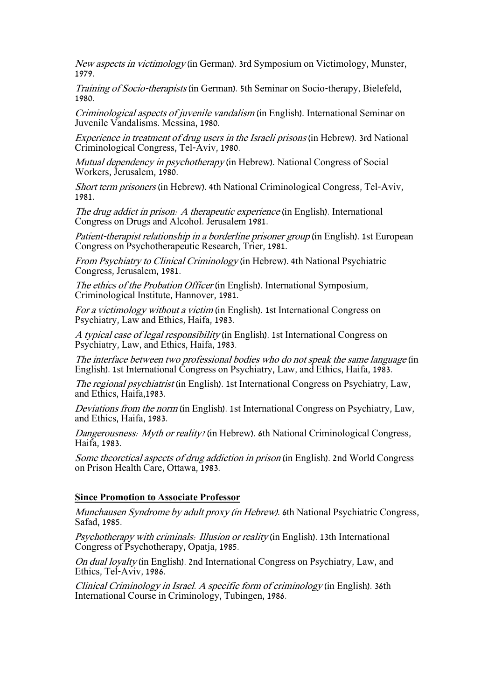New aspects in victimology (in German). 3rd Symposium on Victimology, Munster, 1979.

Training of Socio-therapists (in German). 5th Seminar on Socio-therapy, Bielefeld, 1980.

Criminological aspects of juvenile vandalism (in English). International Seminar on Juvenile Vandalisms. Messina, 1980.

Experience in treatment of drug users in the Israeli prisons (in Hebrew). 3rd National Criminological Congress, Tel-Aviv, 1980.

Mutual dependency in psychotherapy (in Hebrew). National Congress of Social Workers, Jerusalem, 1980.

Short term prisoners (in Hebrew). 4th National Criminological Congress, Tel-Aviv, 1981.

The drug addict in prison: A therapeutic experience (in English). International Congress on Drugs and Alcohol. Jerusalem 1981.

Patient-therapist relationship in a borderline prisoner group (in English). 1st European Congress on Psychotherapeutic Research, Trier, 1981.

From Psychiatry to Clinical Criminology (in Hebrew). 4th National Psychiatric Congress, Jerusalem, 1981.

The ethics of the Probation Officer (in English). International Symposium, Criminological Institute, Hannover, 1981.

For a victimology without a victim (in English). 1st International Congress on Psychiatry, Law and Ethics, Haifa, 1983.

A typical case of legal responsibility (in English). 1st International Congress on Psychiatry, Law, and Ethics, Haifa, 1983.

The interface between two professional bodies who do not speak the same language (in English). 1st International Congress on Psychiatry, Law, and Ethics, Haifa, 1983.

The regional psychiatrist (in English). 1st International Congress on Psychiatry, Law, and Ethics, Haifa,1983.

Deviations from the norm (in English). 1st International Congress on Psychiatry, Law, and Ethics, Haifa, 1983.

Dangerousness: Myth or reality? (in Hebrew). 6th National Criminological Congress, Haifa, 1983.

Some theoretical aspects of drug addiction in prison (in English). 2nd World Congress on Prison Health Care, Ottawa, 1983.

#### **Since Promotion to Associate Professor**

Munchausen Syndrome by adult proxy (in Hebrew). 6th National Psychiatric Congress, Safad, 1985.

Psychotherapy with criminals: Illusion or reality (in English). 13th International Congress of Psychotherapy, Opatja, 1985.

On dual loyalty (in English). 2nd International Congress on Psychiatry, Law, and Ethics, Tel-Aviv, 1986.

Clinical Criminology in Israel. A specific form of criminology (in English). 36th International Course in Criminology, Tubingen, 1986.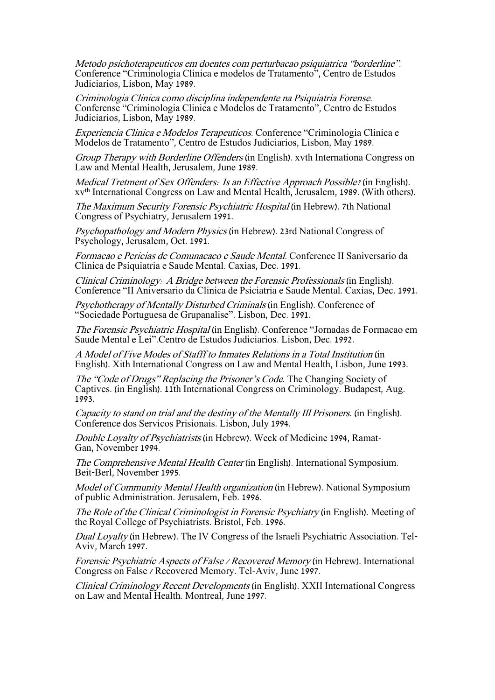Metodo psichoterapeuticos em doentes com perturbacao psiquiatrica "borderline". Conference "Criminologia Clinica e modelos de Tratamento", Centro de Estudos Judiciarios, Lisbon, May 1989.

Criminologia Clinica como disciplina independente na Psiquiatria Forense. Conferense "Criminologia Clinica e Modelos de Tratamento", Centro de Estudos Judiciarios, Lisbon, May 1989.

Experiencia Clinica e Modelos Terapeuticos. Conference "Criminologia Clinica e Modelos de Tratamento", Centro de Estudos Judiciarios, Lisbon, May 1989.

Group Therapy with Borderline Offenders (in English). xvth Internationa Congress on Law and Mental Health, Jerusalem, June 1989.

Medical Tretment of Sex Offenders: Is an Effective Approach Possible? (in English). xvth International Congress on Law and Mental Health, Jerusalem, 1989. (With others).

The Maximum Security Forensic Psychiatric Hospital (in Hebrew). 7th National Congress of Psychiatry, Jerusalem 1991.

Psychopathology and Modern Physics (in Hebrew). 23rd National Congress of Psychology, Jerusalem, Oct. 1991.

Formacao e Pericias de Comunacaco e Saude Mental. Conference II Saniversario da Clinica de Psiquiatria e Saude Mental. Caxias, Dec. 1991.

Clinical Criminology: A Bridge between the Forensic Professionals (in English). Conference "II Aniversario da Clinica de Psiciatria e Saude Mental. Caxias, Dec. 1991.

Psychotherapy of Mentally Disturbed Criminals (in English). Conference of "Sociedade Portuguesa de Grupanalise". Lisbon, Dec. 1991.

The Forensic Psychiatric Hospital (in English). Conference "Jornadas de Formacao em Saude Mental e Lei".Centro de Estudos Judiciarios. Lisbon, Dec. 1992.

A Model of Five Modes of Stafff to Inmates Relations in a Total Institution (in English). Xith International Congress on Law and Mental Health, Lisbon, June 1993.

The "Code of Drugs" Replacing the Prisoner's Code. The Changing Society of Captives. (in English). 11th International Congress on Criminology. Budapest, Aug. 1993.

Capacity to stand on trial and the destiny of the Mentally Ill Prisoners. (in English). Conference dos Servicos Prisionais. Lisbon, July 1994.

Double Loyalty of Psychiatrists (in Hebrew). Week of Medicine 1994, Ramat-Gan, November 1994.

The Comprehensive Mental Health Center (in English). International Symposium. Beit-Berl, November 1995.

Model of Community Mental Health organization (in Hebrew). National Symposium of public Administration. Jerusalem, Feb. 1996.

The Role of the Clinical Criminologist in Forensic Psychiatry (in English). Meeting of the Royal College of Psychiatrists. Bristol, Feb. 1996.

Dual Loyalty (in Hebrew). The IV Congress of the Israeli Psychiatric Association. Tel-Aviv, March 1997.

Forensic Psychiatric Aspects of False / Recovered Memory (in Hebrew). International Congress on False / Recovered Memory. Tel-Aviv, June 1997.

Clinical Criminology Recent Developments (in English). XXII International Congress on Law and Mental Health. Montreal, June 1997.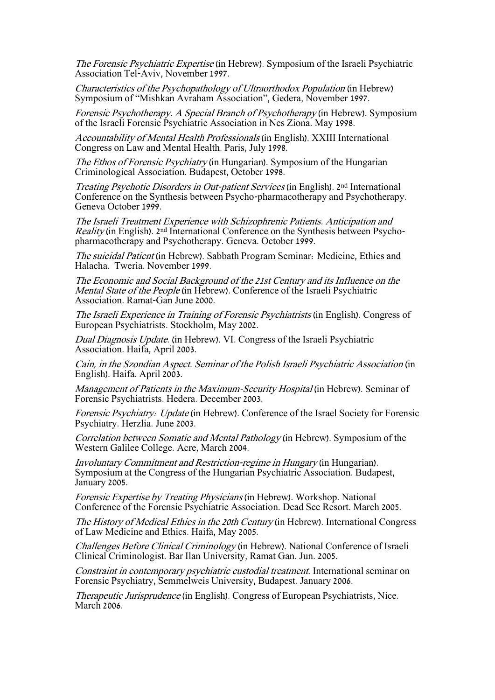The Forensic Psychiatric Expertise (in Hebrew). Symposium of the Israeli Psychiatric Association Tel-Aviv, November 1997.

Characteristics of the Psychopathology of Ultraorthodox Population (in Hebrew) Symposium of "Mishkan Avraham Association", Gedera, November 1997.

Forensic Psychotherapy. A Special Branch of Psychotherapy (in Hebrew). Symposium of the Israeli Forensic Psychiatric Association in Nes Ziona. May 1998.

Accountability of Mental Health Professionals (in English). XXIII International Congress on Law and Mental Health. Paris, July 1998.

The Ethos of Forensic Psychiatry (in Hungarian). Symposium of the Hungarian Criminological Association. Budapest, October 1998.

Treating Psychotic Disorders in Out-patient Services (in English). 2nd International Conference on the Synthesis between Psycho-pharmacotherapy and Psychotherapy. Geneva October 1999.

The Israeli Treatment Experience with Schizophrenic Patients. Anticipation and Reality (in English). 2nd International Conference on the Synthesis between Psychopharmacotherapy and Psychotherapy. Geneva. October 1999.

The suicidal Patient (in Hebrew). Sabbath Program Seminar: Medicine, Ethics and Halacha. Tweria. November 1999.

The Economic and Social Background of the 21st Century and its Influence on the Mental State of the People (in Hebrew). Conference of the Israeli Psychiatric Association. Ramat-Gan June 2000.

The Israeli Experience in Training of Forensic Psychiatrists (in English). Congress of European Psychiatrists. Stockholm, May 2002.

Dual Diagnosis Update. (in Hebrew). VI. Congress of the Israeli Psychiatric Association. Haifa, April 2003.

Cain, in the Szondian Aspect. Seminar of the Polish Israeli Psychiatric Association (in English). Haifa. April 2003.

Management of Patients in the Maximum-Security Hospital (in Hebrew). Seminar of Forensic Psychiatrists. Hedera. December 2003.

Forensic Psychiatry: Update (in Hebrew). Conference of the Israel Society for Forensic Psychiatry. Herzlia. June 2003.

Correlation between Somatic and Mental Pathology (in Hebrew). Symposium of the Western Galilee College. Acre, March 2004.

Involuntary Commitment and Restriction-regime in Hungary (in Hungarian). Symposium at the Congress of the Hungarian Psychiatric Association. Budapest, January 2005.

Forensic Expertise by Treating Physicians (in Hebrew). Workshop. National Conference of the Forensic Psychiatric Association. Dead See Resort. March 2005.

The History of Medical Ethics in the 20th Century (in Hebrew). International Congress of Law Medicine and Ethics. Haifa, May 2005.

Challenges Before Clinical Criminology (in Hebrew). National Conference of Israeli Clinical Criminologist. Bar Ilan University, Ramat Gan. Jun. 2005.

Constraint in contemporary psychiatric custodial treatment. International seminar on Forensic Psychiatry, Semmelweis University, Budapest. January 2006.

Therapeutic Jurisprudence (in English). Congress of European Psychiatrists, Nice. March 2006.